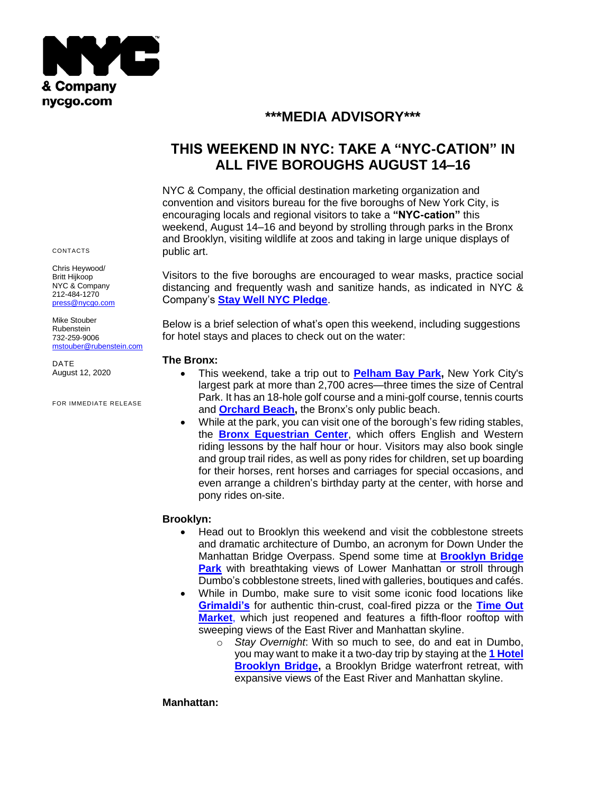

## **\*\*\*MEDIA ADVISORY\*\*\***

# **THIS WEEKEND IN NYC: TAKE A "NYC-CATION" IN ALL FIVE BOROUGHS AUGUST 14–16**

NYC & Company, the official destination marketing organization and convention and visitors bureau for the five boroughs of New York City, is encouraging locals and regional visitors to take a **"NYC-cation"** this weekend, August 14–16 and beyond by strolling through parks in the Bronx and Brooklyn, visiting wildlife at zoos and taking in large unique displays of public art.

Visitors to the five boroughs are encouraged to wear masks, practice social distancing and frequently wash and sanitize hands, as indicated in NYC & Company's **[Stay Well NYC Pledge](https://www.nycgo.com/coronavirus-information-and-resources-for-travelers/stay-well-nyc-take-the-pledge/)**.

Below is a brief selection of what's open this weekend, including suggestions for hotel stays and places to check out on the water:

#### **The Bronx:**

- This weekend, take a trip out to **[Pelham Bay Park,](https://www.nycgovparks.org/parks/pelham-bay-park)** New York City's largest park at more than 2,700 acres—three times the size of Central Park. It has an 18-hole golf course and a mini-golf course, tennis courts and **[Orchard Beach,](https://www.nycgovparks.org/parks/pelham-bay-park/facilities/beaches)** the Bronx's only public beach.
	- While at the park, you can visit one of the borough's few riding stables, the **[Bronx Equestrian Center](http://www.nychorse.com/)**, which offers English and Western riding lessons by the half hour or hour. Visitors may also book single and group trail rides, as well as pony rides for children, set up boarding for their horses, rent horses and carriages for special occasions, and even arrange a children's birthday party at the center, with horse and pony rides on-site.

## **Brooklyn:**

- Head out to Brooklyn this weekend and visit the cobblestone streets and dramatic architecture of Dumbo, an acronym for Down Under the Manhattan Bridge Overpass. Spend some time at **[Brooklyn Bridge](https://www.brooklynbridgepark.org/)  [Park](https://www.brooklynbridgepark.org/)** with breathtaking views of Lower Manhattan or stroll through Dumbo's cobblestone streets, lined with galleries, boutiques and cafés.
- While in Dumbo, make sure to visit some iconic food locations like **[Grimaldi's](https://www.grimaldispizzeria.com/locations/1-front-street-brooklyn/)** for authentic thin-crust, coal-fired pizza or the **[Time Out](https://www.timeoutmarket.com/newyork/)  [Market](https://www.timeoutmarket.com/newyork/)**, which just reopened and features a fifth-floor rooftop with sweeping views of the East River and Manhattan skyline.
	- o *Stay Overnight*: With so much to see, do and eat in Dumbo, you may want to make it a two-day trip by staying at the **[1 Hotel](https://www.1hotels.com/brooklyn-bridge)  [Brooklyn Bridge,](https://www.1hotels.com/brooklyn-bridge)** a Brooklyn Bridge waterfront retreat, with expansive views of the East River and Manhattan skyline.

#### **Manhattan:**

CONTACTS

Chris Heywood/ Britt Hijkoop NYC & Company 212-484-1270 [press@nycgo.com](mailto:press@nycgo.com)

Mike Stouber Rubenstein 732-259-9006 [mstouber@rubenstein.com](mailto:mstouber@rubenstein.com)

DATE August 12, 2020

FOR IMMEDIATE RELEASE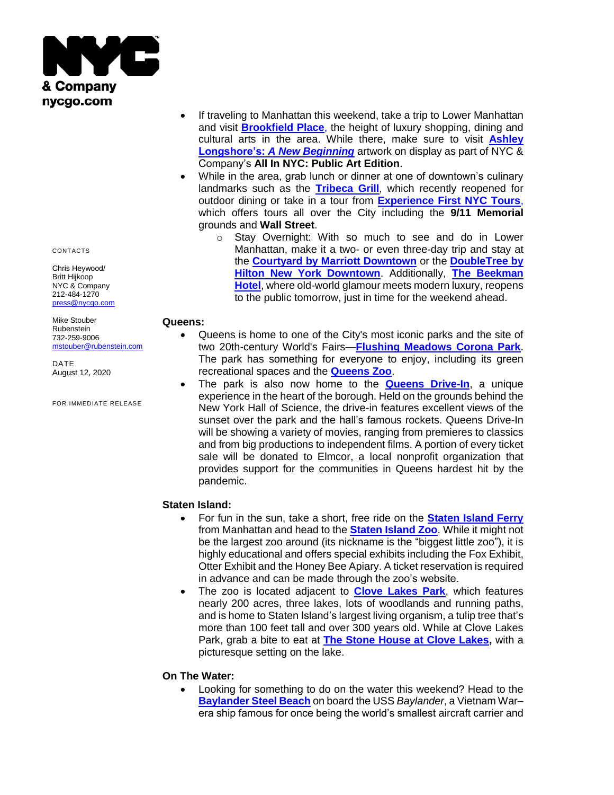

CONTACTS

Chris Heywood/ Britt Hijkoop NYC & Company 212-484-1270 [press@nycgo.com](mailto:press@nycgo.com)

Mike Stouber Rubenstein 732-259-9006 [mstouber@rubenstein.com](mailto:mstouber@rubenstein.com)

DATE August 12, 2020

FOR IMMEDIATE RELEASE

- If traveling to Manhattan this weekend, take a trip to Lower Manhattan and visit **[Brookfield](https://bfplny.com/) Place**, the height of luxury shopping, dining and cultural arts in the area. While there, make sure to visit **[Ashley](https://bfplny.com/event/ashley-longshore-a-new-beginning/)  Longshore's:** *[A New Beginning](https://bfplny.com/event/ashley-longshore-a-new-beginning/)* artwork on display as part of NYC & Company's **All In NYC: Public Art Edition**.
- While in the area, grab lunch or dinner at one of downtown's culinary landmarks such as the **[Tribeca Grill](https://www.tribecagrill.com/)**, which recently reopened for outdoor dining or take in a tour from **[Experience First NYC Tours](https://www.exp1.com/new-york-tours/)**, which offers tours all over the City including the **9/11 Memorial**  grounds and **Wall Street**.
	- o Stay Overnight: With so much to see and do in Lower Manhattan, make it a two- or even three-day trip and stay at the **[Courtyard by Marriott Downtown](https://www.marriott.com/hotels/travel/nycxm-courtyard-new-york-downtown-manhattan-world-trade-center-area/)** or the **[DoubleTree by](https://www.hilton.com/en/hotels/nycbpdt-doubletree-new-york-downtown/)  [Hilton New York Downtown](https://www.hilton.com/en/hotels/nycbpdt-doubletree-new-york-downtown/)**. Additionally, **[The Beekman](https://www.thebeekman.com/)  [Hotel](https://www.thebeekman.com/)**, where old-world glamour meets modern luxury, reopens to the public tomorrow, just in time for the weekend ahead.

#### **Queens:**

- Queens is home to one of the City's most iconic parks and the site of two 20th-century World's Fairs—**[Flushing Meadows Corona Park](https://www.nycgovparks.org/parks/flushing-meadows-corona-park)**. The park has something for everyone to enjoy, including its green recreational spaces and the **[Queens Zoo](https://queenszoo.com/)**.
- The park is also now home to the **[Queens Drive-In](https://www.queensdrivein.com/)**, a unique experience in the heart of the borough. Held on the grounds behind the New York Hall of Science, the drive-in features excellent views of the sunset over the park and the hall's famous rockets. Queens Drive-In will be showing a variety of movies, ranging from premieres to classics and from big productions to independent films. A portion of every ticket sale will be donated to Elmcor, a local nonprofit organization that provides support for the communities in Queens hardest hit by the pandemic.

## **Staten Island:**

- For fun in the sun, take a short, free ride on the **[Staten Island Ferry](https://www.siferry.com/)** from Manhattan and head to the **[Staten Island Zoo](http://www.statenislandzoo.org/)**. While it might not be the largest zoo around (its nickname is the "biggest little zoo"), it is highly educational and offers special exhibits including the Fox Exhibit, Otter Exhibit and the Honey Bee Apiary. A ticket reservation is required in advance and can be made through the zoo's website.
- The zoo is located adjacent to **[Clove Lakes Park](https://www.nycgovparks.org/parks/clove-lakes-park)**, which features nearly 200 acres, three lakes, lots of woodlands and running paths, and is home to Staten Island's largest living organism, a tulip tree that's more than 100 feet tall and over 300 years old. While at Clove Lakes Park, grab a bite to eat at **[The Stone House at Clove Lakes,](http://thestonehousesi.com/)** with a picturesque setting on the lake.

#### **On The Water:**

• Looking for something to do on the water this weekend? Head to the **[Baylander Steel Beach](https://www.baylander.nyc/)** on board the USS *Baylander*, a Vietnam War– era ship famous for once being the world's smallest aircraft carrier and